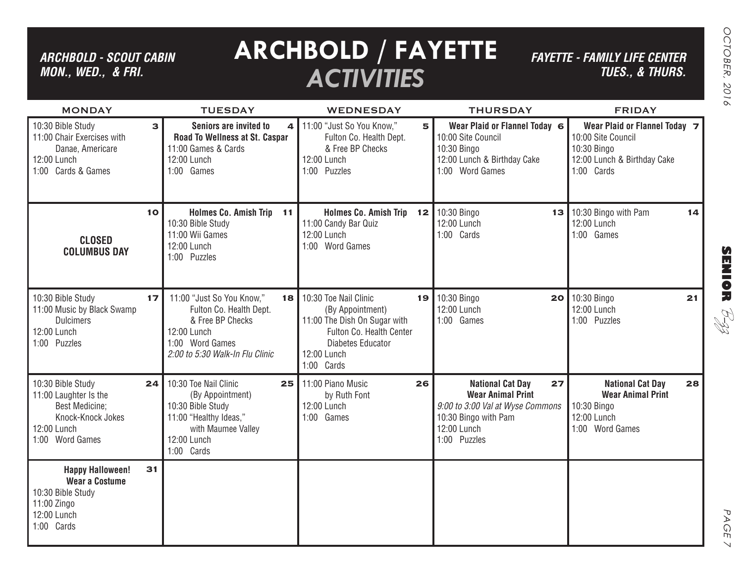## *ARCHBOLD - SCOUT CABIN MON., WED., & FRI.*

## **ARCHBOLD / FAYETTE** *ACTIVITIES*

*FAYETTE - FAMILY LIFE CENTER TUES., & THURS.*

| <b>MONDAY</b>                                                                                                              |    | <b>TUESDAY</b>                                                                                                                                      | <b>WEDNESDAY</b>                                                                                                                                        |    | <b>THURSDAY</b>                                                                                                                                      | <b>FRIDAY</b>                                                                                                   |
|----------------------------------------------------------------------------------------------------------------------------|----|-----------------------------------------------------------------------------------------------------------------------------------------------------|---------------------------------------------------------------------------------------------------------------------------------------------------------|----|------------------------------------------------------------------------------------------------------------------------------------------------------|-----------------------------------------------------------------------------------------------------------------|
| 10:30 Bible Study<br>11:00 Chair Exercises with<br>Danae, Americare<br>12:00 Lunch<br>1:00 Cards & Games                   | 3  | Seniors are invited to<br>4<br>Road To Wellness at St. Caspar<br>11:00 Games & Cards<br>12:00 Lunch<br>1:00 Games                                   | 11:00 "Just So You Know,"<br>Fulton Co. Health Dept.<br>& Free BP Checks<br>12:00 Lunch<br>1:00 Puzzles                                                 | 5  | Wear Plaid or Flannel Today 6<br>10:00 Site Council<br>10:30 Bingo<br>12:00 Lunch & Birthday Cake<br>1:00 Word Games                                 | Wear Plaid or Flannel Today 7<br>10:00 Site Council<br>10:30 Bingo<br>12:00 Lunch & Birthday Cake<br>1:00 Cards |
| <b>CLOSED</b><br><b>COLUMBUS DAY</b>                                                                                       | 10 | Holmes Co. Amish Trip 11<br>10:30 Bible Study<br>11:00 Wii Games<br>12:00 Lunch<br>1:00 Puzzles                                                     | Holmes Co. Amish Trip 12<br>11:00 Candy Bar Quiz<br>12:00 Lunch<br>1:00 Word Games                                                                      |    | 10:30 Bingo<br>13<br>12:00 Lunch<br>1:00 Cards                                                                                                       | 10:30 Bingo with Pam<br>14<br>12:00 Lunch<br>1:00 Games                                                         |
| 10:30 Bible Study<br>11:00 Music by Black Swamp<br><b>Dulcimers</b><br>12:00 Lunch<br>1:00 Puzzles                         | 17 | 11:00 "Just So You Know,"<br>18<br>Fulton Co. Health Dept.<br>& Free BP Checks<br>12:00 Lunch<br>1:00 Word Games<br>2:00 to 5:30 Walk-In Flu Clinic | 10:30 Toe Nail Clinic<br>(By Appointment)<br>11:00 The Dish On Sugar with<br>Fulton Co. Health Center<br>Diabetes Educator<br>12:00 Lunch<br>1:00 Cards | 19 | 10:30 Bingo<br>12:00 Lunch<br>1:00 Games                                                                                                             | 20 10:30 Bingo<br>21<br>12:00 Lunch<br>1:00 Puzzles                                                             |
| 10:30 Bible Study<br>11:00 Laughter Is the<br><b>Best Medicine:</b><br>Knock-Knock Jokes<br>12:00 Lunch<br>1:00 Word Games | 24 | 10:30 Toe Nail Clinic<br>25<br>(By Appointment)<br>10:30 Bible Study<br>11:00 "Healthy Ideas,"<br>with Maumee Valley<br>12:00 Lunch<br>1:00 Cards   | 11:00 Piano Music<br>26<br>by Ruth Font<br>12:00 Lunch<br>1:00 Games                                                                                    |    | <b>National Cat Day</b><br>27<br><b>Wear Animal Print</b><br>9:00 to 3:00 Val at Wyse Commons<br>10:30 Bingo with Pam<br>12:00 Lunch<br>1:00 Puzzles | <b>National Cat Day</b><br>28<br><b>Wear Animal Print</b><br>10:30 Bingo<br>12:00 Lunch<br>1:00 Word Games      |
| <b>Happy Halloween!</b><br><b>Wear a Costume</b><br>10:30 Bible Study<br>11:00 Zingo<br>12:00 Lunch<br>1:00 Cards          | 31 |                                                                                                                                                     |                                                                                                                                                         |    |                                                                                                                                                      |                                                                                                                 |

**SENIOR** B-zz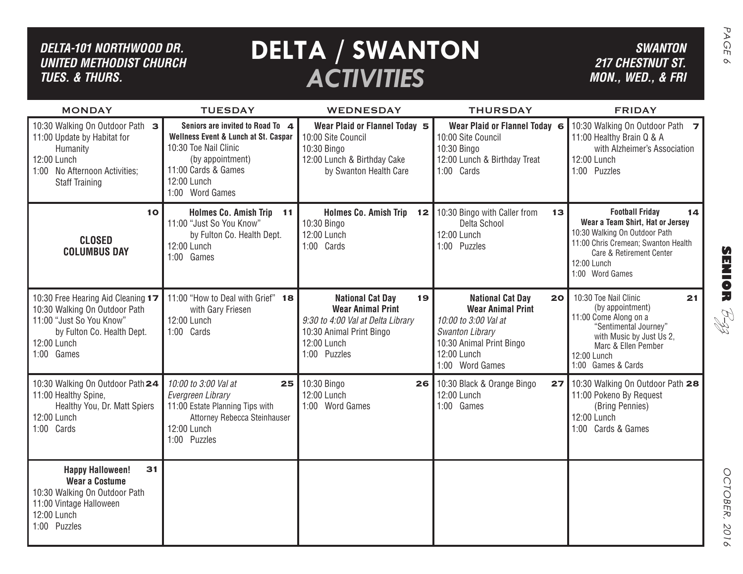### *DELTA-101 Northwood dr. United methodist church TUES. & THURS.*

# *ACTIVITIES*

| DELTA-101 NORTHWOOD DR.<br><b>UNITED METHODIST CHURCH</b><br><b>TUES. &amp; THURS.</b>                                                                     | <b>SWANTON</b><br><b>217 CHESTNUT ST.</b><br>MON., WED., & FRI                                                                                                                 | PAGE<br>$\infty$                                                                                                                                          |                                                                                                                                                                           |                                                                                                                                                                                                        |                  |
|------------------------------------------------------------------------------------------------------------------------------------------------------------|--------------------------------------------------------------------------------------------------------------------------------------------------------------------------------|-----------------------------------------------------------------------------------------------------------------------------------------------------------|---------------------------------------------------------------------------------------------------------------------------------------------------------------------------|--------------------------------------------------------------------------------------------------------------------------------------------------------------------------------------------------------|------------------|
| <b>MONDAY</b>                                                                                                                                              | <b>TUESDAY</b>                                                                                                                                                                 | WEDNESDAY                                                                                                                                                 | <b>THURSDAY</b>                                                                                                                                                           | <b>FRIDAY</b>                                                                                                                                                                                          |                  |
| 10:30 Walking On Outdoor Path 3<br>11:00 Update by Habitat for<br>Humanity<br>12:00 Lunch<br>1:00 No Afternoon Activities;<br><b>Staff Training</b>        | Seniors are invited to Road To 4<br>Wellness Event & Lunch at St. Caspar<br>10:30 Toe Nail Clinic<br>(by appointment)<br>11:00 Cards & Games<br>12:00 Lunch<br>1:00 Word Games | Wear Plaid or Flannel Today 5<br>10:00 Site Council<br>10:30 Bingo<br>12:00 Lunch & Birthday Cake<br>by Swanton Health Care                               | Wear Plaid or Flannel Today 6<br>10:00 Site Council<br>10:30 Bingo<br>12:00 Lunch & Birthday Treat<br>1:00 Cards                                                          | 10:30 Walking On Outdoor Path 7<br>11:00 Healthy Brain Q & A<br>with Alzheimer's Association<br>12:00 Lunch<br>1:00 Puzzles                                                                            |                  |
| 10<br><b>CLOSED</b><br><b>COLUMBUS DAY</b>                                                                                                                 | <b>Holmes Co. Amish Trip</b><br>11<br>11:00 "Just So You Know"<br>by Fulton Co. Health Dept.<br>12:00 Lunch<br>1:00 Games                                                      | Holmes Co. Amish Trip 12<br>10:30 Bingo<br>12:00 Lunch<br>1:00 Cards                                                                                      | 10:30 Bingo with Caller from<br>13<br>Delta School<br>12:00 Lunch<br>1:00 Puzzles                                                                                         | <b>Football Friday</b><br>14<br>Wear a Team Shirt, Hat or Jersey<br>10:30 Walking On Outdoor Path<br>11:00 Chris Cremean; Swanton Health<br>Care & Retirement Center<br>12:00 Lunch<br>1:00 Word Games | <b>SENIOR</b>    |
| 10:30 Free Hearing Aid Cleaning 17<br>10:30 Walking On Outdoor Path<br>11:00 "Just So You Know"<br>by Fulton Co. Health Dept.<br>12:00 Lunch<br>1:00 Games | 11:00 "How to Deal with Grief" 18<br>with Gary Friesen<br>12:00 Lunch<br>1:00 Cards                                                                                            | <b>National Cat Day</b><br>19<br><b>Wear Animal Print</b><br>9:30 to 4:00 Val at Delta Library<br>10:30 Animal Print Bingo<br>12:00 Lunch<br>1:00 Puzzles | <b>National Cat Day</b><br>20<br><b>Wear Animal Print</b><br>10:00 to 3:00 Val at<br><b>Swanton Library</b><br>10:30 Animal Print Bingo<br>12:00 Lunch<br>1:00 Word Games | 10:30 Toe Nail Clinic<br>21<br>(by appointment)<br>11:00 Come Along on a<br>"Sentimental Journey"<br>with Music by Just Us 2,<br>Marc & Ellen Pember<br>12:00 Lunch<br>1:00 Games & Cards              | RI<br>R          |
| 10:30 Walking On Outdoor Path 24<br>11:00 Healthy Spine,<br>Healthy You, Dr. Matt Spiers<br>12:00 Lunch<br>1:00 Cards                                      | 10:00 to 3:00 Val at<br>25<br>Evergreen Library<br>11:00 Estate Planning Tips with<br>Attorney Rebecca Steinhauser<br>12:00 Lunch<br>1:00 Puzzles                              | 10:30 Bingo<br>26I<br>12:00 Lunch<br>1:00 Word Games                                                                                                      | 10:30 Black & Orange Bingo<br>27 <sup>1</sup><br>12:00 Lunch<br>1:00 Games                                                                                                | 10:30 Walking On Outdoor Path 28<br>11:00 Pokeno By Request<br>(Bring Pennies)<br>12:00 Lunch<br>1:00 Cards & Games                                                                                    |                  |
| 31<br><b>Happy Halloween!</b><br><b>Wear a Costume</b><br>10:30 Walking On Outdoor Path<br>11:00 Vintage Halloween<br>12:00 Lunch<br>1:00 Puzzles          |                                                                                                                                                                                |                                                                                                                                                           |                                                                                                                                                                           |                                                                                                                                                                                                        | OCTOBER,<br>2016 |